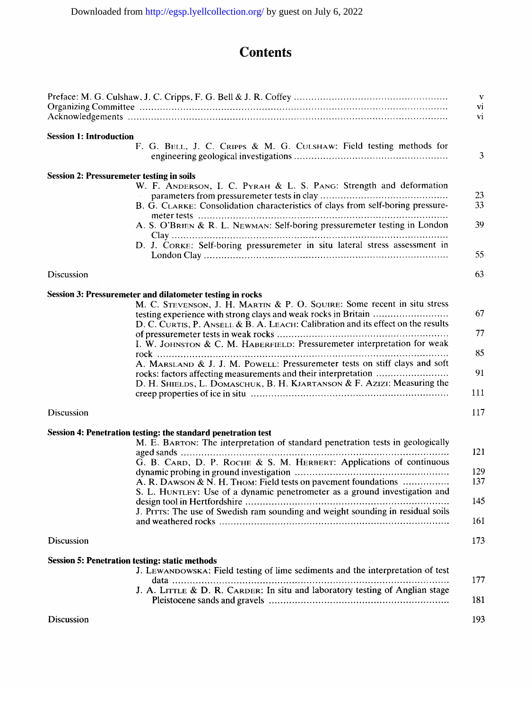## **Contents**

|                                |                                                                                                                                                                                                                                                                                                                                                                                                                                                                                                                                                                                                    | V<br>vi<br>vi                   |
|--------------------------------|----------------------------------------------------------------------------------------------------------------------------------------------------------------------------------------------------------------------------------------------------------------------------------------------------------------------------------------------------------------------------------------------------------------------------------------------------------------------------------------------------------------------------------------------------------------------------------------------------|---------------------------------|
| <b>Session 1: Introduction</b> | F. G. BELL, J. C. CRIPPS & M. G. CULSHAW: Field testing methods for                                                                                                                                                                                                                                                                                                                                                                                                                                                                                                                                | 3                               |
|                                | <b>Session 2: Pressuremeter testing in soils</b><br>W. F. ANDERSON, I. C. PYRAH & L. S. PANG: Strength and deformation<br>B. G. CLARKE: Consolidation characteristics of clays from self-boring pressure-<br>A. S. O'BRIEN & R. L. NEWMAN: Self-boring pressuremeter testing in London<br>D. J. CORKE: Self-boring pressuremeter in situ lateral stress assessment in                                                                                                                                                                                                                              | 23<br>33<br>39<br>55            |
| Discussion                     |                                                                                                                                                                                                                                                                                                                                                                                                                                                                                                                                                                                                    | 63                              |
|                                | Session 3: Pressuremeter and dilatometer testing in rocks<br>M. C. STEVENSON, J. H. MARTIN & P. O. SQUIRE: Some recent in situ stress<br>testing experience with strong clays and weak rocks in Britain<br>D. C. CURTIS, P. ANSELL & B. A. LEACH: Calibration and its effect on the results<br>I. W. JOHNSTON & C. M. HABERFIELD: Pressuremeter interpretation for weak<br>A. MARSLAND & J. J. M. POWELL: Pressuremeter tests on stiff clays and soft<br>rocks: factors affecting measurements and their interpretation<br>D. H. SHIELDS, L. DOMASCHUK, B. H. KJARTANSON & F. AZIZI: Measuring the | 67<br>77<br>85<br>91<br>111     |
| <b>Discussion</b>              |                                                                                                                                                                                                                                                                                                                                                                                                                                                                                                                                                                                                    | 117                             |
|                                | Session 4: Penetration testing: the standard penetration test<br>M. E. BARTON: The interpretation of standard penetration tests in geologically<br>G. B. CARD, D. P. ROCHE & S. M. HERBERT: Applications of continuous<br>A. R. DAWSON & N. H. THOM: Field tests on pavement foundations<br>S. L. HUNTLEY: Use of a dynamic penetrometer as a ground investigation and<br>J. PITTS: The use of Swedish ram sounding and weight sounding in residual soils                                                                                                                                          | 121<br>129<br>137<br>145<br>161 |
| <b>Discussion</b>              |                                                                                                                                                                                                                                                                                                                                                                                                                                                                                                                                                                                                    | 173                             |
|                                | <b>Session 5: Penetration testing: static methods</b><br>J. LEWANDOWSKA: Field testing of lime sediments and the interpretation of test<br>J. A. LITTLE & D. R. CARDER: In situ and laboratory testing of Anglian stage                                                                                                                                                                                                                                                                                                                                                                            | 177<br>181                      |
| Discussion                     |                                                                                                                                                                                                                                                                                                                                                                                                                                                                                                                                                                                                    | 193                             |